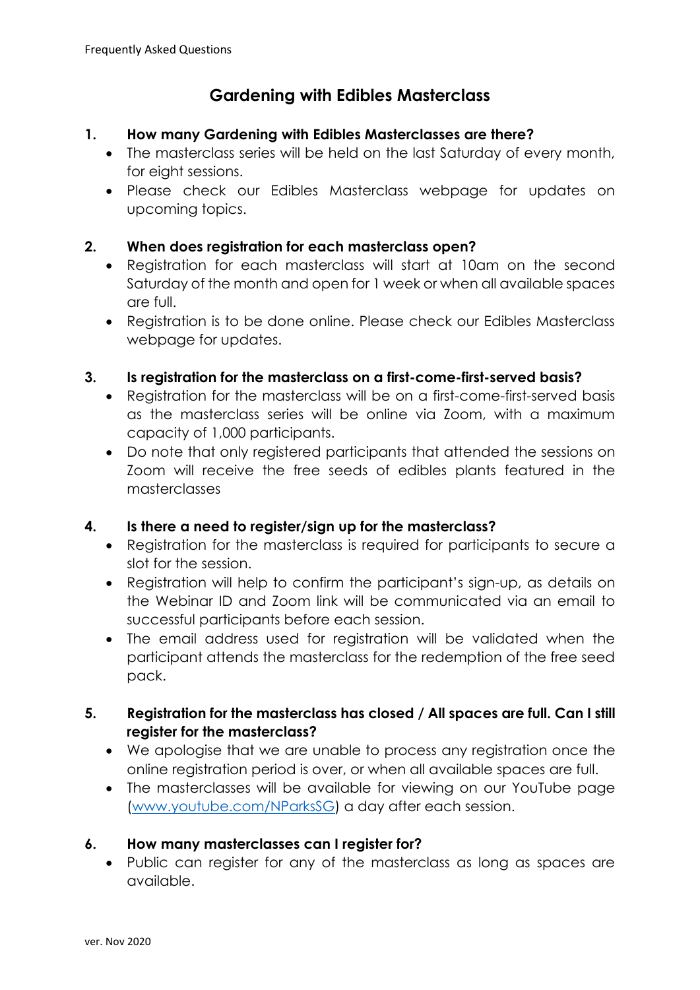# **Gardening with Edibles Masterclass**

### **1. How many Gardening with Edibles Masterclasses are there?**

- The masterclass series will be held on the last Saturday of every month, for eight sessions.
- Please check our Edibles Masterclass webpage for updates on upcoming topics.

# **2. When does registration for each masterclass open?**

- Registration for each masterclass will start at 10am on the second Saturday of the month and open for 1 week or when all available spaces are full.
- Registration is to be done online. Please check our Edibles Masterclass webpage for updates.

# **3. Is registration for the masterclass on a first-come-first-served basis?**

- Registration for the masterclass will be on a first-come-first-served basis as the masterclass series will be online via Zoom, with a maximum capacity of 1,000 participants.
- Do note that only registered participants that attended the sessions on Zoom will receive the free seeds of edibles plants featured in the masterclasses

# **4. Is there a need to register/sign up for the masterclass?**

- Registration for the masterclass is required for participants to secure a slot for the session.
- Registration will help to confirm the participant's sign-up, as details on the Webinar ID and Zoom link will be communicated via an email to successful participants before each session.
- The email address used for registration will be validated when the participant attends the masterclass for the redemption of the free seed pack.

# **5. Registration for the masterclass has closed / All spaces are full. Can I still register for the masterclass?**

- We apologise that we are unable to process any registration once the online registration period is over, or when all available spaces are full.
- The masterclasses will be available for viewing on our YouTube page [\(www.youtube.com/NParksSG\)](http://www.youtube.com/NParksSG) a day after each session.

# **6. How many masterclasses can I register for?**

• Public can register for any of the masterclass as long as spaces are available.